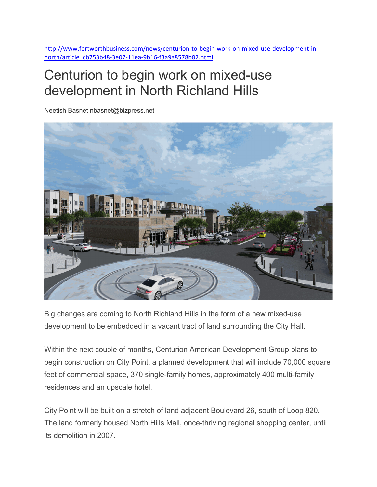http://www.fortworthbusiness.com/news/centurion‐to‐begin‐work‐on‐mixed‐use‐development‐in‐ north/article\_cb753b48‐3e07‐11ea‐9b16‐f3a9a8578b82.html

## Centurion to begin work on mixed-use development in North Richland Hills

Neetish Basnet nbasnet@bizpress.net



Big changes are coming to North Richland Hills in the form of a new mixed-use development to be embedded in a vacant tract of land surrounding the City Hall.

Within the next couple of months, Centurion American Development Group plans to begin construction on City Point, a planned development that will include 70,000 square feet of commercial space, 370 single-family homes, approximately 400 multi-family residences and an upscale hotel.

City Point will be built on a stretch of land adjacent Boulevard 26, south of Loop 820. The land formerly housed North Hills Mall, once-thriving regional shopping center, until its demolition in 2007.